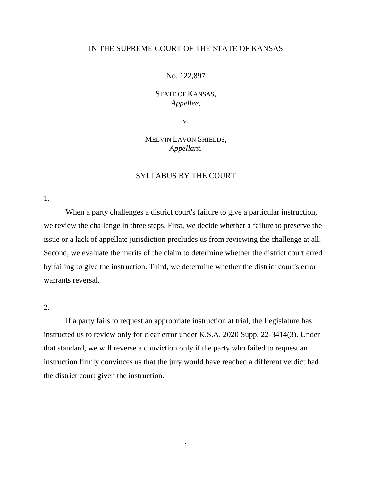## IN THE SUPREME COURT OF THE STATE OF KANSAS

### No. 122,897

# STATE OF KANSAS, *Appellee*,

v.

# MELVIN LAVON SHIELDS, *Appellant.*

## SYLLABUS BY THE COURT

1.

When a party challenges a district court's failure to give a particular instruction, we review the challenge in three steps. First, we decide whether a failure to preserve the issue or a lack of appellate jurisdiction precludes us from reviewing the challenge at all. Second, we evaluate the merits of the claim to determine whether the district court erred by failing to give the instruction. Third, we determine whether the district court's error warrants reversal.

2.

If a party fails to request an appropriate instruction at trial, the Legislature has instructed us to review only for clear error under K.S.A. 2020 Supp. 22-3414(3). Under that standard, we will reverse a conviction only if the party who failed to request an instruction firmly convinces us that the jury would have reached a different verdict had the district court given the instruction.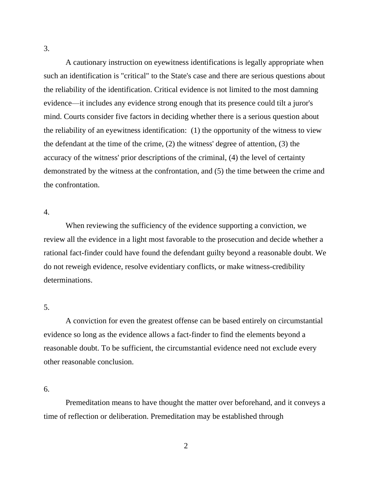A cautionary instruction on eyewitness identifications is legally appropriate when such an identification is "critical" to the State's case and there are serious questions about the reliability of the identification. Critical evidence is not limited to the most damning evidence—it includes any evidence strong enough that its presence could tilt a juror's mind. Courts consider five factors in deciding whether there is a serious question about the reliability of an eyewitness identification: (1) the opportunity of the witness to view the defendant at the time of the crime, (2) the witness' degree of attention, (3) the accuracy of the witness' prior descriptions of the criminal, (4) the level of certainty demonstrated by the witness at the confrontation, and (5) the time between the crime and the confrontation.

## 4.

When reviewing the sufficiency of the evidence supporting a conviction, we review all the evidence in a light most favorable to the prosecution and decide whether a rational fact-finder could have found the defendant guilty beyond a reasonable doubt. We do not reweigh evidence, resolve evidentiary conflicts, or make witness-credibility determinations.

## 5.

A conviction for even the greatest offense can be based entirely on circumstantial evidence so long as the evidence allows a fact-finder to find the elements beyond a reasonable doubt. To be sufficient, the circumstantial evidence need not exclude every other reasonable conclusion.

## 6.

Premeditation means to have thought the matter over beforehand, and it conveys a time of reflection or deliberation. Premeditation may be established through

3.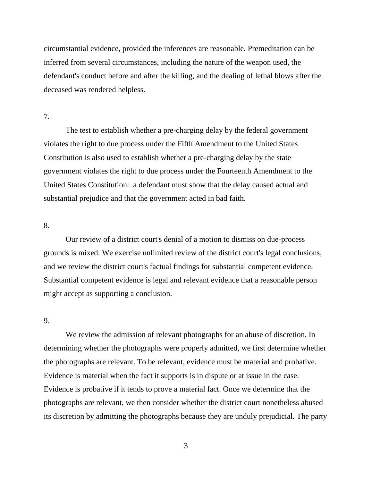circumstantial evidence, provided the inferences are reasonable. Premeditation can be inferred from several circumstances, including the nature of the weapon used, the defendant's conduct before and after the killing, and the dealing of lethal blows after the deceased was rendered helpless.

7.

The test to establish whether a pre-charging delay by the federal government violates the right to due process under the Fifth Amendment to the United States Constitution is also used to establish whether a pre-charging delay by the state government violates the right to due process under the Fourteenth Amendment to the United States Constitution: a defendant must show that the delay caused actual and substantial prejudice and that the government acted in bad faith.

### 8.

Our review of a district court's denial of a motion to dismiss on due-process grounds is mixed. We exercise unlimited review of the district court's legal conclusions, and we review the district court's factual findings for substantial competent evidence. Substantial competent evidence is legal and relevant evidence that a reasonable person might accept as supporting a conclusion.

## 9.

We review the admission of relevant photographs for an abuse of discretion. In determining whether the photographs were properly admitted, we first determine whether the photographs are relevant. To be relevant, evidence must be material and probative. Evidence is material when the fact it supports is in dispute or at issue in the case. Evidence is probative if it tends to prove a material fact. Once we determine that the photographs are relevant, we then consider whether the district court nonetheless abused its discretion by admitting the photographs because they are unduly prejudicial. The party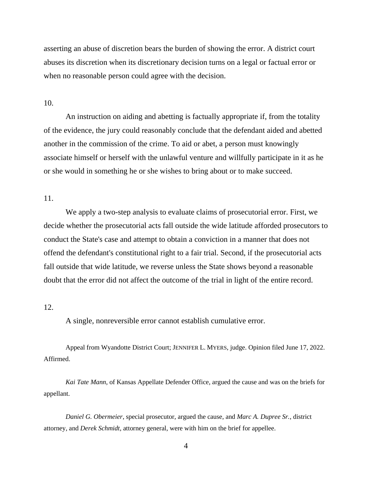asserting an abuse of discretion bears the burden of showing the error. A district court abuses its discretion when its discretionary decision turns on a legal or factual error or when no reasonable person could agree with the decision.

### 10.

An instruction on aiding and abetting is factually appropriate if, from the totality of the evidence, the jury could reasonably conclude that the defendant aided and abetted another in the commission of the crime. To aid or abet, a person must knowingly associate himself or herself with the unlawful venture and willfully participate in it as he or she would in something he or she wishes to bring about or to make succeed.

## 11.

We apply a two-step analysis to evaluate claims of prosecutorial error. First, we decide whether the prosecutorial acts fall outside the wide latitude afforded prosecutors to conduct the State's case and attempt to obtain a conviction in a manner that does not offend the defendant's constitutional right to a fair trial. Second, if the prosecutorial acts fall outside that wide latitude, we reverse unless the State shows beyond a reasonable doubt that the error did not affect the outcome of the trial in light of the entire record.

### 12.

A single, nonreversible error cannot establish cumulative error.

Appeal from Wyandotte District Court; JENNIFER L. MYERS, judge. Opinion filed June 17, 2022. Affirmed.

*Kai Tate Mann*, of Kansas Appellate Defender Office, argued the cause and was on the briefs for appellant.

*Daniel G. Obermeier*, special prosecutor, argued the cause, and *Marc A. Dupree Sr.*, district attorney, and *Derek Schmidt*, attorney general, were with him on the brief for appellee.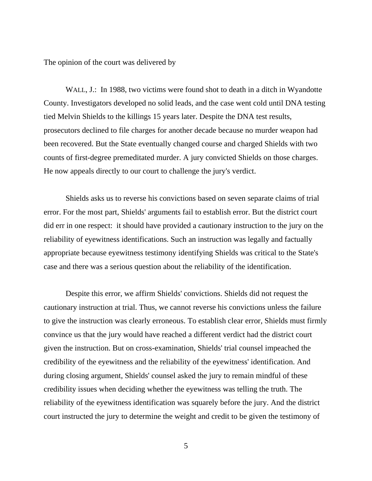The opinion of the court was delivered by

WALL, J.: In 1988, two victims were found shot to death in a ditch in Wyandotte County. Investigators developed no solid leads, and the case went cold until DNA testing tied Melvin Shields to the killings 15 years later. Despite the DNA test results, prosecutors declined to file charges for another decade because no murder weapon had been recovered. But the State eventually changed course and charged Shields with two counts of first-degree premeditated murder. A jury convicted Shields on those charges. He now appeals directly to our court to challenge the jury's verdict.

Shields asks us to reverse his convictions based on seven separate claims of trial error. For the most part, Shields' arguments fail to establish error. But the district court did err in one respect: it should have provided a cautionary instruction to the jury on the reliability of eyewitness identifications. Such an instruction was legally and factually appropriate because eyewitness testimony identifying Shields was critical to the State's case and there was a serious question about the reliability of the identification.

Despite this error, we affirm Shields' convictions. Shields did not request the cautionary instruction at trial. Thus, we cannot reverse his convictions unless the failure to give the instruction was clearly erroneous. To establish clear error, Shields must firmly convince us that the jury would have reached a different verdict had the district court given the instruction. But on cross-examination, Shields' trial counsel impeached the credibility of the eyewitness and the reliability of the eyewitness' identification. And during closing argument, Shields' counsel asked the jury to remain mindful of these credibility issues when deciding whether the eyewitness was telling the truth. The reliability of the eyewitness identification was squarely before the jury. And the district court instructed the jury to determine the weight and credit to be given the testimony of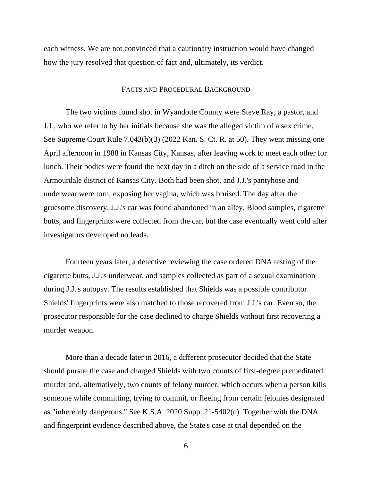each witness. We are not convinced that a cautionary instruction would have changed how the jury resolved that question of fact and, ultimately, its verdict.

#### FACTS AND PROCEDURAL BACKGROUND

The two victims found shot in Wyandotte County were Steve Ray, a pastor, and J.J., who we refer to by her initials because she was the alleged victim of a sex crime. See Supreme Court Rule 7.043(b)(3) (2022 Kan. S. Ct. R. at 50). They went missing one April afternoon in 1988 in Kansas City, Kansas, after leaving work to meet each other for lunch. Their bodies were found the next day in a ditch on the side of a service road in the Armourdale district of Kansas City. Both had been shot, and J.J.'s pantyhose and underwear were torn, exposing her vagina, which was bruised. The day after the gruesome discovery, J.J.'s car was found abandoned in an alley. Blood samples, cigarette butts, and fingerprints were collected from the car, but the case eventually went cold after investigators developed no leads.

Fourteen years later, a detective reviewing the case ordered DNA testing of the cigarette butts, J.J.'s underwear, and samples collected as part of a sexual examination during J.J.'s autopsy. The results established that Shields was a possible contributor. Shields' fingerprints were also matched to those recovered from J.J.'s car. Even so, the prosecutor responsible for the case declined to charge Shields without first recovering a murder weapon.

More than a decade later in 2016, a different prosecutor decided that the State should pursue the case and charged Shields with two counts of first-degree premeditated murder and, alternatively, two counts of felony murder, which occurs when a person kills someone while committing, trying to commit, or fleeing from certain felonies designated as "inherently dangerous." See K.S.A. 2020 Supp. 21-5402(c). Together with the DNA and fingerprint evidence described above, the State's case at trial depended on the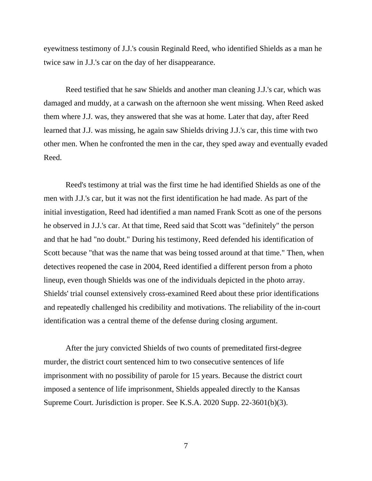eyewitness testimony of J.J.'s cousin Reginald Reed, who identified Shields as a man he twice saw in J.J.'s car on the day of her disappearance.

Reed testified that he saw Shields and another man cleaning J.J.'s car, which was damaged and muddy, at a carwash on the afternoon she went missing. When Reed asked them where J.J. was, they answered that she was at home. Later that day, after Reed learned that J.J. was missing, he again saw Shields driving J.J.'s car, this time with two other men. When he confronted the men in the car, they sped away and eventually evaded Reed.

Reed's testimony at trial was the first time he had identified Shields as one of the men with J.J.'s car, but it was not the first identification he had made. As part of the initial investigation, Reed had identified a man named Frank Scott as one of the persons he observed in J.J.'s car. At that time, Reed said that Scott was "definitely" the person and that he had "no doubt." During his testimony, Reed defended his identification of Scott because "that was the name that was being tossed around at that time." Then, when detectives reopened the case in 2004, Reed identified a different person from a photo lineup, even though Shields was one of the individuals depicted in the photo array. Shields' trial counsel extensively cross-examined Reed about these prior identifications and repeatedly challenged his credibility and motivations. The reliability of the in-court identification was a central theme of the defense during closing argument.

After the jury convicted Shields of two counts of premeditated first-degree murder, the district court sentenced him to two consecutive sentences of life imprisonment with no possibility of parole for 15 years. Because the district court imposed a sentence of life imprisonment, Shields appealed directly to the Kansas Supreme Court. Jurisdiction is proper. See K.S.A. 2020 Supp. 22-3601(b)(3).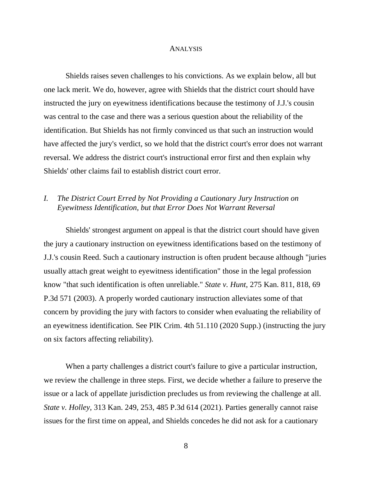#### ANALYSIS

Shields raises seven challenges to his convictions. As we explain below, all but one lack merit. We do, however, agree with Shields that the district court should have instructed the jury on eyewitness identifications because the testimony of J.J.'s cousin was central to the case and there was a serious question about the reliability of the identification. But Shields has not firmly convinced us that such an instruction would have affected the jury's verdict, so we hold that the district court's error does not warrant reversal. We address the district court's instructional error first and then explain why Shields' other claims fail to establish district court error.

# *I. The District Court Erred by Not Providing a Cautionary Jury Instruction on Eyewitness Identification, but that Error Does Not Warrant Reversal*

Shields' strongest argument on appeal is that the district court should have given the jury a cautionary instruction on eyewitness identifications based on the testimony of J.J.'s cousin Reed. Such a cautionary instruction is often prudent because although "juries usually attach great weight to eyewitness identification" those in the legal profession know "that such identification is often unreliable." *State v. Hunt*, 275 Kan. 811, 818, 69 P.3d 571 (2003). A properly worded cautionary instruction alleviates some of that concern by providing the jury with factors to consider when evaluating the reliability of an eyewitness identification. See PIK Crim. 4th 51.110 (2020 Supp.) (instructing the jury on six factors affecting reliability).

When a party challenges a district court's failure to give a particular instruction, we review the challenge in three steps. First, we decide whether a failure to preserve the issue or a lack of appellate jurisdiction precludes us from reviewing the challenge at all. *State v. Holley*, 313 Kan. 249, 253, 485 P.3d 614 (2021). Parties generally cannot raise issues for the first time on appeal, and Shields concedes he did not ask for a cautionary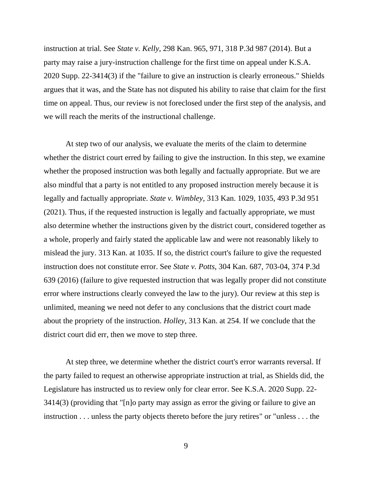instruction at trial. See *State v. Kelly*, 298 Kan. 965, 971, 318 P.3d 987 (2014). But a party may raise a jury-instruction challenge for the first time on appeal under K.S.A. 2020 Supp. 22-3414(3) if the "failure to give an instruction is clearly erroneous." Shields argues that it was, and the State has not disputed his ability to raise that claim for the first time on appeal. Thus, our review is not foreclosed under the first step of the analysis, and we will reach the merits of the instructional challenge.

At step two of our analysis, we evaluate the merits of the claim to determine whether the district court erred by failing to give the instruction. In this step, we examine whether the proposed instruction was both legally and factually appropriate. But we are also mindful that a party is not entitled to any proposed instruction merely because it is legally and factually appropriate. *State v. Wimbley*, 313 Kan. 1029, 1035, 493 P.3d 951 (2021). Thus, if the requested instruction is legally and factually appropriate, we must also determine whether the instructions given by the district court, considered together as a whole, properly and fairly stated the applicable law and were not reasonably likely to mislead the jury. 313 Kan. at 1035. If so, the district court's failure to give the requested instruction does not constitute error. See *State v. Potts*, 304 Kan. 687, 703-04, 374 P.3d 639 (2016) (failure to give requested instruction that was legally proper did not constitute error where instructions clearly conveyed the law to the jury). Our review at this step is unlimited, meaning we need not defer to any conclusions that the district court made about the propriety of the instruction. *Holley*, 313 Kan. at 254. If we conclude that the district court did err, then we move to step three.

At step three, we determine whether the district court's error warrants reversal. If the party failed to request an otherwise appropriate instruction at trial, as Shields did, the Legislature has instructed us to review only for clear error. See K.S.A. 2020 Supp. 22- 3414(3) (providing that "[n]o party may assign as error the giving or failure to give an instruction . . . unless the party objects thereto before the jury retires" or "unless . . . the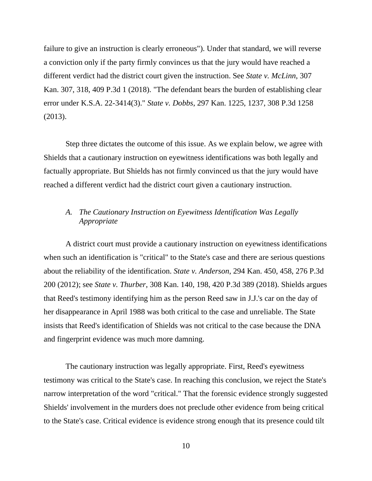failure to give an instruction is clearly erroneous"). Under that standard, we will reverse a conviction only if the party firmly convinces us that the jury would have reached a different verdict had the district court given the instruction. See *State v. McLinn*, 307 Kan. 307, 318, 409 P.3d 1 (2018). "The defendant bears the burden of establishing clear error under K.S.A. 22-3414(3)." *State v. Dobbs*, 297 Kan. 1225, 1237, 308 P.3d 1258 (2013).

Step three dictates the outcome of this issue. As we explain below, we agree with Shields that a cautionary instruction on eyewitness identifications was both legally and factually appropriate. But Shields has not firmly convinced us that the jury would have reached a different verdict had the district court given a cautionary instruction.

# *A. The Cautionary Instruction on Eyewitness Identification Was Legally Appropriate*

A district court must provide a cautionary instruction on eyewitness identifications when such an identification is "critical" to the State's case and there are serious questions about the reliability of the identification. *State v. Anderson*, 294 Kan. 450, 458, 276 P.3d 200 (2012); see *State v. Thurber*, 308 Kan. 140, 198, 420 P.3d 389 (2018). Shields argues that Reed's testimony identifying him as the person Reed saw in J.J.'s car on the day of her disappearance in April 1988 was both critical to the case and unreliable. The State insists that Reed's identification of Shields was not critical to the case because the DNA and fingerprint evidence was much more damning.

The cautionary instruction was legally appropriate. First, Reed's eyewitness testimony was critical to the State's case. In reaching this conclusion, we reject the State's narrow interpretation of the word "critical." That the forensic evidence strongly suggested Shields' involvement in the murders does not preclude other evidence from being critical to the State's case. Critical evidence is evidence strong enough that its presence could tilt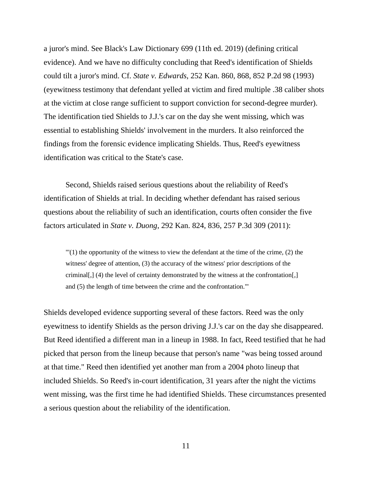a juror's mind. See Black's Law Dictionary 699 (11th ed. 2019) (defining critical evidence). And we have no difficulty concluding that Reed's identification of Shields could tilt a juror's mind. Cf. *State v. Edwards*, 252 Kan. 860, 868, 852 P.2d 98 (1993) (eyewitness testimony that defendant yelled at victim and fired multiple .38 caliber shots at the victim at close range sufficient to support conviction for second-degree murder). The identification tied Shields to J.J.'s car on the day she went missing, which was essential to establishing Shields' involvement in the murders. It also reinforced the findings from the forensic evidence implicating Shields. Thus, Reed's eyewitness identification was critical to the State's case.

Second, Shields raised serious questions about the reliability of Reed's identification of Shields at trial. In deciding whether defendant has raised serious questions about the reliability of such an identification, courts often consider the five factors articulated in *State v. Duong*, 292 Kan. 824, 836, 257 P.3d 309 (2011):

 $\Gamma$ (1) the opportunity of the witness to view the defendant at the time of the crime, (2) the witness' degree of attention, (3) the accuracy of the witness' prior descriptions of the criminal[,] (4) the level of certainty demonstrated by the witness at the confrontation[,] and (5) the length of time between the crime and the confrontation.'"

Shields developed evidence supporting several of these factors. Reed was the only eyewitness to identify Shields as the person driving J.J.'s car on the day she disappeared. But Reed identified a different man in a lineup in 1988. In fact, Reed testified that he had picked that person from the lineup because that person's name "was being tossed around at that time." Reed then identified yet another man from a 2004 photo lineup that included Shields. So Reed's in-court identification, 31 years after the night the victims went missing, was the first time he had identified Shields. These circumstances presented a serious question about the reliability of the identification.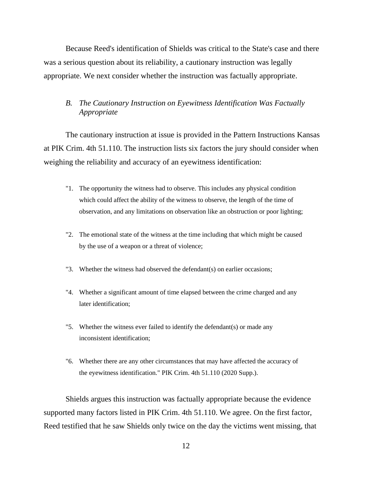Because Reed's identification of Shields was critical to the State's case and there was a serious question about its reliability, a cautionary instruction was legally appropriate. We next consider whether the instruction was factually appropriate.

## *B. The Cautionary Instruction on Eyewitness Identification Was Factually Appropriate*

The cautionary instruction at issue is provided in the Pattern Instructions Kansas at PIK Crim. 4th 51.110. The instruction lists six factors the jury should consider when weighing the reliability and accuracy of an eyewitness identification:

- "1. The opportunity the witness had to observe. This includes any physical condition which could affect the ability of the witness to observe, the length of the time of observation, and any limitations on observation like an obstruction or poor lighting;
- "2. The emotional state of the witness at the time including that which might be caused by the use of a weapon or a threat of violence;
- "3. Whether the witness had observed the defendant(s) on earlier occasions;
- "4. Whether a significant amount of time elapsed between the crime charged and any later identification;
- "5. Whether the witness ever failed to identify the defendant(s) or made any inconsistent identification;
- "6. Whether there are any other circumstances that may have affected the accuracy of the eyewitness identification." PIK Crim. 4th 51.110 (2020 Supp.).

Shields argues this instruction was factually appropriate because the evidence supported many factors listed in PIK Crim. 4th 51.110. We agree. On the first factor, Reed testified that he saw Shields only twice on the day the victims went missing, that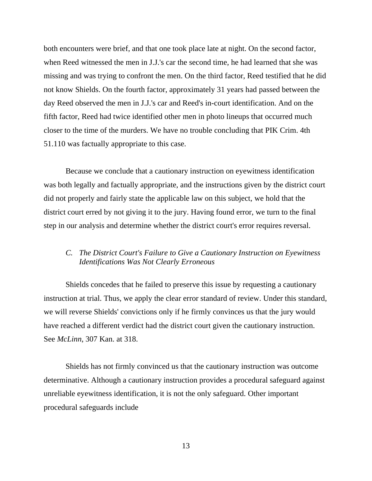both encounters were brief, and that one took place late at night. On the second factor, when Reed witnessed the men in J.J.'s car the second time, he had learned that she was missing and was trying to confront the men. On the third factor, Reed testified that he did not know Shields. On the fourth factor, approximately 31 years had passed between the day Reed observed the men in J.J.'s car and Reed's in-court identification. And on the fifth factor, Reed had twice identified other men in photo lineups that occurred much closer to the time of the murders. We have no trouble concluding that PIK Crim. 4th 51.110 was factually appropriate to this case.

Because we conclude that a cautionary instruction on eyewitness identification was both legally and factually appropriate, and the instructions given by the district court did not properly and fairly state the applicable law on this subject, we hold that the district court erred by not giving it to the jury. Having found error, we turn to the final step in our analysis and determine whether the district court's error requires reversal.

## *C. The District Court's Failure to Give a Cautionary Instruction on Eyewitness Identifications Was Not Clearly Erroneous*

Shields concedes that he failed to preserve this issue by requesting a cautionary instruction at trial. Thus, we apply the clear error standard of review. Under this standard, we will reverse Shields' convictions only if he firmly convinces us that the jury would have reached a different verdict had the district court given the cautionary instruction. See *McLinn*, 307 Kan. at 318.

Shields has not firmly convinced us that the cautionary instruction was outcome determinative. Although a cautionary instruction provides a procedural safeguard against unreliable eyewitness identification, it is not the only safeguard. Other important procedural safeguards include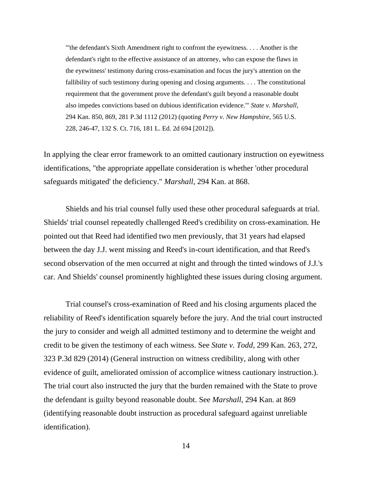"'the defendant's Sixth Amendment right to confront the eyewitness. . . . Another is the defendant's right to the effective assistance of an attorney, who can expose the flaws in the eyewitness' testimony during cross-examination and focus the jury's attention on the fallibility of such testimony during opening and closing arguments. . . . The constitutional requirement that the government prove the defendant's guilt beyond a reasonable doubt also impedes convictions based on dubious identification evidence.'" *State v. Marshall*, 294 Kan. 850, 869, 281 P.3d 1112 (2012) (quoting *Perry v. New Hampshire*, 565 U.S. 228, 246-47, 132 S. Ct. 716, 181 L. Ed. 2d 694 [2012]).

In applying the clear error framework to an omitted cautionary instruction on eyewitness identifications, "the appropriate appellate consideration is whether 'other procedural safeguards mitigated' the deficiency." *Marshall*, 294 Kan. at 868.

Shields and his trial counsel fully used these other procedural safeguards at trial. Shields' trial counsel repeatedly challenged Reed's credibility on cross-examination. He pointed out that Reed had identified two men previously, that 31 years had elapsed between the day J.J. went missing and Reed's in-court identification, and that Reed's second observation of the men occurred at night and through the tinted windows of J.J.'s car. And Shields' counsel prominently highlighted these issues during closing argument.

Trial counsel's cross-examination of Reed and his closing arguments placed the reliability of Reed's identification squarely before the jury. And the trial court instructed the jury to consider and weigh all admitted testimony and to determine the weight and credit to be given the testimony of each witness. See *State v. Todd*, 299 Kan. 263, 272, 323 P.3d 829 (2014) (General instruction on witness credibility, along with other evidence of guilt, ameliorated omission of accomplice witness cautionary instruction.). The trial court also instructed the jury that the burden remained with the State to prove the defendant is guilty beyond reasonable doubt. See *Marshall*, 294 Kan. at 869 (identifying reasonable doubt instruction as procedural safeguard against unreliable identification).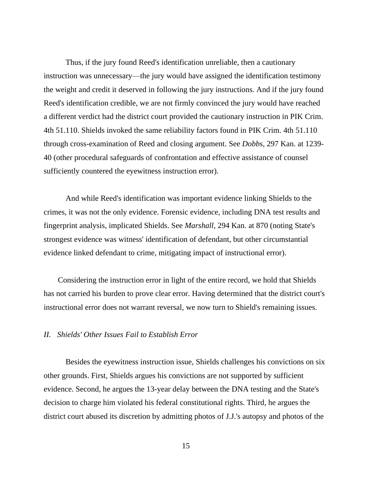Thus, if the jury found Reed's identification unreliable, then a cautionary instruction was unnecessary—the jury would have assigned the identification testimony the weight and credit it deserved in following the jury instructions. And if the jury found Reed's identification credible, we are not firmly convinced the jury would have reached a different verdict had the district court provided the cautionary instruction in PIK Crim. 4th 51.110. Shields invoked the same reliability factors found in PIK Crim. 4th 51.110 through cross-examination of Reed and closing argument. See *Dobbs*, 297 Kan. at 1239- 40 (other procedural safeguards of confrontation and effective assistance of counsel sufficiently countered the eyewitness instruction error).

And while Reed's identification was important evidence linking Shields to the crimes, it was not the only evidence. Forensic evidence, including DNA test results and fingerprint analysis, implicated Shields. See *Marshall*, 294 Kan. at 870 (noting State's strongest evidence was witness' identification of defendant, but other circumstantial evidence linked defendant to crime, mitigating impact of instructional error).

Considering the instruction error in light of the entire record, we hold that Shields has not carried his burden to prove clear error. Having determined that the district court's instructional error does not warrant reversal, we now turn to Shield's remaining issues.

## *II. Shields' Other Issues Fail to Establish Error*

Besides the eyewitness instruction issue, Shields challenges his convictions on six other grounds. First, Shields argues his convictions are not supported by sufficient evidence. Second, he argues the 13-year delay between the DNA testing and the State's decision to charge him violated his federal constitutional rights. Third, he argues the district court abused its discretion by admitting photos of J.J.'s autopsy and photos of the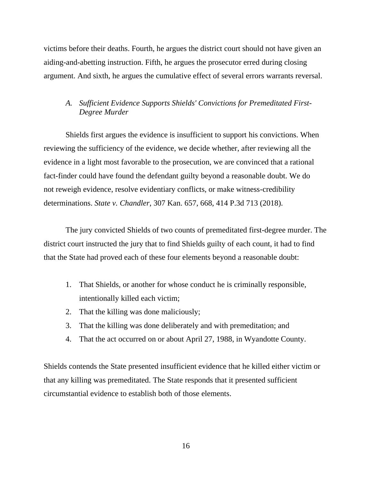victims before their deaths. Fourth, he argues the district court should not have given an aiding-and-abetting instruction. Fifth, he argues the prosecutor erred during closing argument. And sixth, he argues the cumulative effect of several errors warrants reversal.

# *A. Sufficient Evidence Supports Shields' Convictions for Premeditated First-Degree Murder*

Shields first argues the evidence is insufficient to support his convictions. When reviewing the sufficiency of the evidence, we decide whether, after reviewing all the evidence in a light most favorable to the prosecution, we are convinced that a rational fact-finder could have found the defendant guilty beyond a reasonable doubt. We do not reweigh evidence, resolve evidentiary conflicts, or make witness-credibility determinations. *State v. Chandler*, 307 Kan. 657, 668, 414 P.3d 713 (2018).

The jury convicted Shields of two counts of premeditated first-degree murder. The district court instructed the jury that to find Shields guilty of each count, it had to find that the State had proved each of these four elements beyond a reasonable doubt:

- 1. That Shields, or another for whose conduct he is criminally responsible, intentionally killed each victim;
- 2. That the killing was done maliciously;
- 3. That the killing was done deliberately and with premeditation; and
- 4. That the act occurred on or about April 27, 1988, in Wyandotte County.

Shields contends the State presented insufficient evidence that he killed either victim or that any killing was premeditated. The State responds that it presented sufficient circumstantial evidence to establish both of those elements.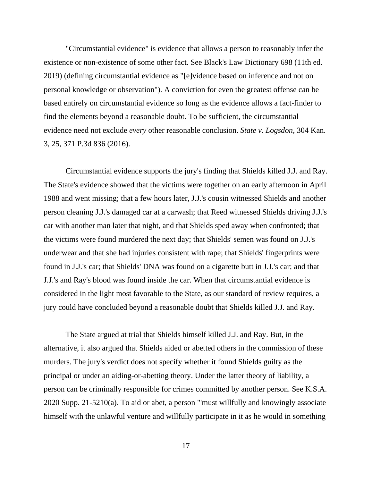"Circumstantial evidence" is evidence that allows a person to reasonably infer the existence or non-existence of some other fact. See Black's Law Dictionary 698 (11th ed. 2019) (defining circumstantial evidence as "[e]vidence based on inference and not on personal knowledge or observation"). A conviction for even the greatest offense can be based entirely on circumstantial evidence so long as the evidence allows a fact-finder to find the elements beyond a reasonable doubt. To be sufficient, the circumstantial evidence need not exclude *every* other reasonable conclusion. *State v. Logsdon*, 304 Kan. 3, 25, 371 P.3d 836 (2016).

Circumstantial evidence supports the jury's finding that Shields killed J.J. and Ray. The State's evidence showed that the victims were together on an early afternoon in April 1988 and went missing; that a few hours later, J.J.'s cousin witnessed Shields and another person cleaning J.J.'s damaged car at a carwash; that Reed witnessed Shields driving J.J.'s car with another man later that night, and that Shields sped away when confronted; that the victims were found murdered the next day; that Shields' semen was found on J.J.'s underwear and that she had injuries consistent with rape; that Shields' fingerprints were found in J.J.'s car; that Shields' DNA was found on a cigarette butt in J.J.'s car; and that J.J.'s and Ray's blood was found inside the car. When that circumstantial evidence is considered in the light most favorable to the State, as our standard of review requires, a jury could have concluded beyond a reasonable doubt that Shields killed J.J. and Ray.

The State argued at trial that Shields himself killed J.J. and Ray. But, in the alternative, it also argued that Shields aided or abetted others in the commission of these murders. The jury's verdict does not specify whether it found Shields guilty as the principal or under an aiding-or-abetting theory. Under the latter theory of liability, a person can be criminally responsible for crimes committed by another person. See K.S.A. 2020 Supp. 21-5210(a). To aid or abet, a person "'must willfully and knowingly associate himself with the unlawful venture and willfully participate in it as he would in something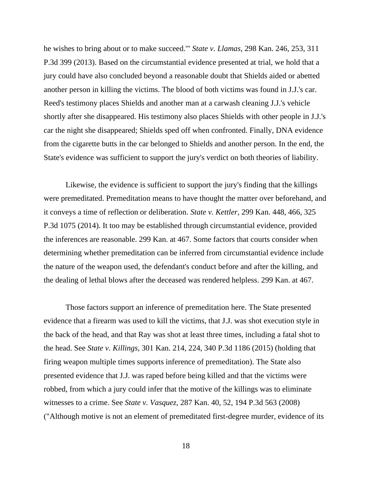he wishes to bring about or to make succeed.'" *State v. Llamas*, 298 Kan. 246, 253, 311 P.3d 399 (2013). Based on the circumstantial evidence presented at trial, we hold that a jury could have also concluded beyond a reasonable doubt that Shields aided or abetted another person in killing the victims. The blood of both victims was found in J.J.'s car. Reed's testimony places Shields and another man at a carwash cleaning J.J.'s vehicle shortly after she disappeared. His testimony also places Shields with other people in J.J.'s car the night she disappeared; Shields sped off when confronted. Finally, DNA evidence from the cigarette butts in the car belonged to Shields and another person. In the end, the State's evidence was sufficient to support the jury's verdict on both theories of liability.

Likewise, the evidence is sufficient to support the jury's finding that the killings were premeditated. Premeditation means to have thought the matter over beforehand, and it conveys a time of reflection or deliberation. *State v. Kettler*, 299 Kan. 448, 466, 325 P.3d 1075 (2014). It too may be established through circumstantial evidence, provided the inferences are reasonable. 299 Kan. at 467. Some factors that courts consider when determining whether premeditation can be inferred from circumstantial evidence include the nature of the weapon used, the defendant's conduct before and after the killing, and the dealing of lethal blows after the deceased was rendered helpless. 299 Kan. at 467.

Those factors support an inference of premeditation here. The State presented evidence that a firearm was used to kill the victims, that J.J. was shot execution style in the back of the head, and that Ray was shot at least three times, including a fatal shot to the head. See *State v. Killings*, 301 Kan. 214, 224, 340 P.3d 1186 (2015) (holding that firing weapon multiple times supports inference of premeditation). The State also presented evidence that J.J. was raped before being killed and that the victims were robbed, from which a jury could infer that the motive of the killings was to eliminate witnesses to a crime. See *State v. Vasquez*, 287 Kan. 40, 52, 194 P.3d 563 (2008) ("Although motive is not an element of premeditated first-degree murder, evidence of its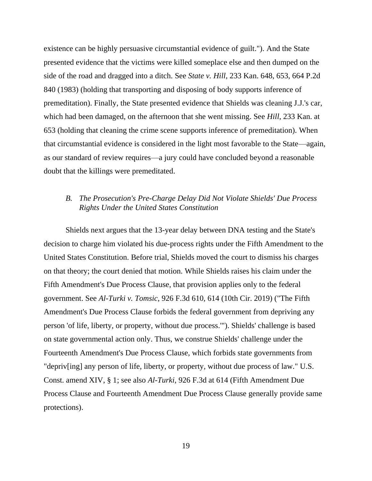existence can be highly persuasive circumstantial evidence of guilt."). And the State presented evidence that the victims were killed someplace else and then dumped on the side of the road and dragged into a ditch. See *State v. Hill*, 233 Kan. 648, 653, 664 P.2d 840 (1983) (holding that transporting and disposing of body supports inference of premeditation). Finally, the State presented evidence that Shields was cleaning J.J.'s car, which had been damaged, on the afternoon that she went missing. See *Hill*, 233 Kan. at 653 (holding that cleaning the crime scene supports inference of premeditation). When that circumstantial evidence is considered in the light most favorable to the State—again, as our standard of review requires—a jury could have concluded beyond a reasonable doubt that the killings were premeditated.

# *B. The Prosecution's Pre-Charge Delay Did Not Violate Shields' Due Process Rights Under the United States Constitution*

Shields next argues that the 13-year delay between DNA testing and the State's decision to charge him violated his due-process rights under the Fifth Amendment to the United States Constitution. Before trial, Shields moved the court to dismiss his charges on that theory; the court denied that motion. While Shields raises his claim under the Fifth Amendment's Due Process Clause, that provision applies only to the federal government. See *Al-Turki v. Tomsic*, 926 F.3d 610, 614 (10th Cir. 2019) ("The Fifth Amendment's Due Process Clause forbids the federal government from depriving any person 'of life, liberty, or property, without due process.'"). Shields' challenge is based on state governmental action only. Thus, we construe Shields' challenge under the Fourteenth Amendment's Due Process Clause, which forbids state governments from "depriv[ing] any person of life, liberty, or property, without due process of law." U.S. Const. amend XIV, § 1; see also *Al-Turki*, 926 F.3d at 614 (Fifth Amendment Due Process Clause and Fourteenth Amendment Due Process Clause generally provide same protections).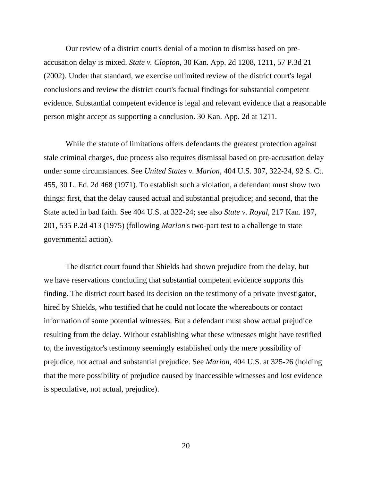Our review of a district court's denial of a motion to dismiss based on preaccusation delay is mixed. *State v. Clopton*, 30 Kan. App. 2d 1208, 1211, 57 P.3d 21 (2002). Under that standard, we exercise unlimited review of the district court's legal conclusions and review the district court's factual findings for substantial competent evidence. Substantial competent evidence is legal and relevant evidence that a reasonable person might accept as supporting a conclusion. 30 Kan. App. 2d at 1211.

While the statute of limitations offers defendants the greatest protection against stale criminal charges, due process also requires dismissal based on pre-accusation delay under some circumstances. See *United States v. Marion*, 404 U.S. 307, 322-24, 92 S. Ct. 455, 30 L. Ed. 2d 468 (1971). To establish such a violation, a defendant must show two things: first, that the delay caused actual and substantial prejudice; and second, that the State acted in bad faith. See 404 U.S. at 322-24; see also *State v. Royal*, 217 Kan. 197, 201, 535 P.2d 413 (1975) (following *Marion*'s two-part test to a challenge to state governmental action).

The district court found that Shields had shown prejudice from the delay, but we have reservations concluding that substantial competent evidence supports this finding. The district court based its decision on the testimony of a private investigator, hired by Shields, who testified that he could not locate the whereabouts or contact information of some potential witnesses. But a defendant must show actual prejudice resulting from the delay. Without establishing what these witnesses might have testified to, the investigator's testimony seemingly established only the mere possibility of prejudice, not actual and substantial prejudice. See *Marion*, 404 U.S. at 325-26 (holding that the mere possibility of prejudice caused by inaccessible witnesses and lost evidence is speculative, not actual, prejudice).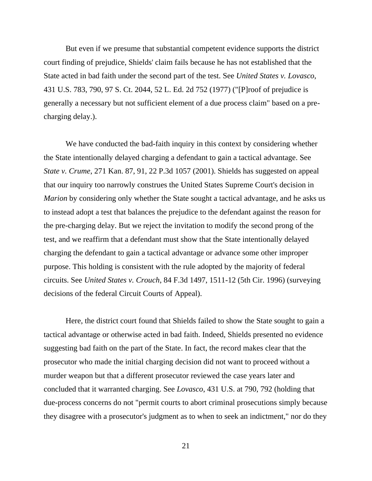But even if we presume that substantial competent evidence supports the district court finding of prejudice, Shields' claim fails because he has not established that the State acted in bad faith under the second part of the test. See *United States v. Lovasco*, 431 U.S. 783, 790, 97 S. Ct. 2044, 52 L. Ed. 2d 752 (1977) ("[P]roof of prejudice is generally a necessary but not sufficient element of a due process claim" based on a precharging delay.).

We have conducted the bad-faith inquiry in this context by considering whether the State intentionally delayed charging a defendant to gain a tactical advantage. See *State v. Crume*, 271 Kan. 87, 91, 22 P.3d 1057 (2001). Shields has suggested on appeal that our inquiry too narrowly construes the United States Supreme Court's decision in *Marion* by considering only whether the State sought a tactical advantage, and he asks us to instead adopt a test that balances the prejudice to the defendant against the reason for the pre-charging delay. But we reject the invitation to modify the second prong of the test, and we reaffirm that a defendant must show that the State intentionally delayed charging the defendant to gain a tactical advantage or advance some other improper purpose. This holding is consistent with the rule adopted by the majority of federal circuits. See *United States v. Crouch*, 84 F.3d 1497, 1511-12 (5th Cir. 1996) (surveying decisions of the federal Circuit Courts of Appeal).

Here, the district court found that Shields failed to show the State sought to gain a tactical advantage or otherwise acted in bad faith. Indeed, Shields presented no evidence suggesting bad faith on the part of the State. In fact, the record makes clear that the prosecutor who made the initial charging decision did not want to proceed without a murder weapon but that a different prosecutor reviewed the case years later and concluded that it warranted charging. See *Lovasco*, 431 U.S. at 790, 792 (holding that due-process concerns do not "permit courts to abort criminal prosecutions simply because they disagree with a prosecutor's judgment as to when to seek an indictment," nor do they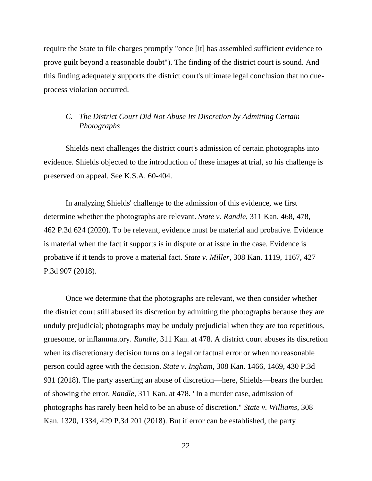require the State to file charges promptly "once [it] has assembled sufficient evidence to prove guilt beyond a reasonable doubt"). The finding of the district court is sound. And this finding adequately supports the district court's ultimate legal conclusion that no dueprocess violation occurred.

# *C. The District Court Did Not Abuse Its Discretion by Admitting Certain Photographs*

Shields next challenges the district court's admission of certain photographs into evidence. Shields objected to the introduction of these images at trial, so his challenge is preserved on appeal. See K.S.A. 60-404.

In analyzing Shields' challenge to the admission of this evidence, we first determine whether the photographs are relevant. *State v. Randle*, 311 Kan. 468, 478, 462 P.3d 624 (2020). To be relevant, evidence must be material and probative. Evidence is material when the fact it supports is in dispute or at issue in the case. Evidence is probative if it tends to prove a material fact. *State v. Miller*, 308 Kan. 1119, 1167, 427 P.3d 907 (2018).

Once we determine that the photographs are relevant, we then consider whether the district court still abused its discretion by admitting the photographs because they are unduly prejudicial; photographs may be unduly prejudicial when they are too repetitious, gruesome, or inflammatory. *Randle*, 311 Kan. at 478. A district court abuses its discretion when its discretionary decision turns on a legal or factual error or when no reasonable person could agree with the decision. *State v. Ingham*, 308 Kan. 1466, 1469, 430 P.3d 931 (2018). The party asserting an abuse of discretion—here, Shields—bears the burden of showing the error. *Randle*, 311 Kan. at 478. "In a murder case, admission of photographs has rarely been held to be an abuse of discretion." *State v. Williams*, 308 Kan. 1320, 1334, 429 P.3d 201 (2018). But if error can be established, the party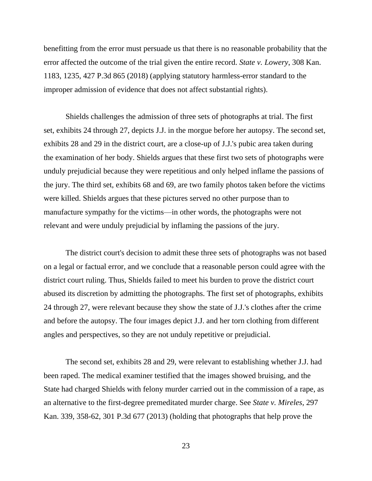benefitting from the error must persuade us that there is no reasonable probability that the error affected the outcome of the trial given the entire record. *State v. Lowery*, 308 Kan. 1183, 1235, 427 P.3d 865 (2018) (applying statutory harmless-error standard to the improper admission of evidence that does not affect substantial rights).

Shields challenges the admission of three sets of photographs at trial. The first set, exhibits 24 through 27, depicts J.J. in the morgue before her autopsy. The second set, exhibits 28 and 29 in the district court, are a close-up of J.J.'s pubic area taken during the examination of her body. Shields argues that these first two sets of photographs were unduly prejudicial because they were repetitious and only helped inflame the passions of the jury. The third set, exhibits 68 and 69, are two family photos taken before the victims were killed. Shields argues that these pictures served no other purpose than to manufacture sympathy for the victims—in other words, the photographs were not relevant and were unduly prejudicial by inflaming the passions of the jury.

The district court's decision to admit these three sets of photographs was not based on a legal or factual error, and we conclude that a reasonable person could agree with the district court ruling. Thus, Shields failed to meet his burden to prove the district court abused its discretion by admitting the photographs. The first set of photographs, exhibits 24 through 27, were relevant because they show the state of J.J.'s clothes after the crime and before the autopsy. The four images depict J.J. and her torn clothing from different angles and perspectives, so they are not unduly repetitive or prejudicial.

The second set, exhibits 28 and 29, were relevant to establishing whether J.J. had been raped. The medical examiner testified that the images showed bruising, and the State had charged Shields with felony murder carried out in the commission of a rape, as an alternative to the first-degree premeditated murder charge. See *State v. Mireles*, 297 Kan. 339, 358-62, 301 P.3d 677 (2013) (holding that photographs that help prove the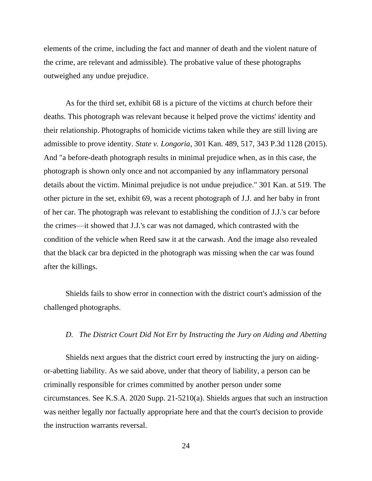elements of the crime, including the fact and manner of death and the violent nature of the crime, are relevant and admissible). The probative value of these photographs outweighed any undue prejudice.

As for the third set, exhibit 68 is a picture of the victims at church before their deaths. This photograph was relevant because it helped prove the victims' identity and their relationship. Photographs of homicide victims taken while they are still living are admissible to prove identity. *State v. Longoria*, 301 Kan. 489, 517, 343 P.3d 1128 (2015). And "a before-death photograph results in minimal prejudice when, as in this case, the photograph is shown only once and not accompanied by any inflammatory personal details about the victim. Minimal prejudice is not undue prejudice." 301 Kan. at 519. The other picture in the set, exhibit 69, was a recent photograph of J.J. and her baby in front of her car. The photograph was relevant to establishing the condition of J.J.'s car before the crimes—it showed that J.J.'s car was not damaged, which contrasted with the condition of the vehicle when Reed saw it at the carwash. And the image also revealed that the black car bra depicted in the photograph was missing when the car was found after the killings.

Shields fails to show error in connection with the district court's admission of the challenged photographs.

### *D. The District Court Did Not Err by Instructing the Jury on Aiding and Abetting*

Shields next argues that the district court erred by instructing the jury on aidingor-abetting liability. As we said above, under that theory of liability, a person can be criminally responsible for crimes committed by another person under some circumstances. See K.S.A. 2020 Supp. 21-5210(a). Shields argues that such an instruction was neither legally nor factually appropriate here and that the court's decision to provide the instruction warrants reversal.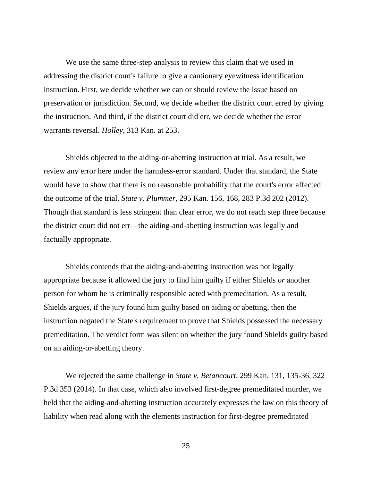We use the same three-step analysis to review this claim that we used in addressing the district court's failure to give a cautionary eyewitness identification instruction. First, we decide whether we can or should review the issue based on preservation or jurisdiction. Second, we decide whether the district court erred by giving the instruction. And third, if the district court did err, we decide whether the error warrants reversal. *Holley*, 313 Kan. at 253.

Shields objected to the aiding-or-abetting instruction at trial. As a result, we review any error here under the harmless-error standard. Under that standard, the State would have to show that there is no reasonable probability that the court's error affected the outcome of the trial. *State v. Plummer*, 295 Kan. 156, 168, 283 P.3d 202 (2012). Though that standard is less stringent than clear error, we do not reach step three because the district court did not err—the aiding-and-abetting instruction was legally and factually appropriate.

Shields contends that the aiding-and-abetting instruction was not legally appropriate because it allowed the jury to find him guilty if either Shields *or* another person for whom he is criminally responsible acted with premeditation. As a result, Shields argues, if the jury found him guilty based on aiding or abetting, then the instruction negated the State's requirement to prove that Shields possessed the necessary premeditation. The verdict form was silent on whether the jury found Shields guilty based on an aiding-or-abetting theory.

We rejected the same challenge in *State v. Betancourt*, 299 Kan. 131, 135-36, 322 P.3d 353 (2014). In that case, which also involved first-degree premeditated murder, we held that the aiding-and-abetting instruction accurately expresses the law on this theory of liability when read along with the elements instruction for first-degree premeditated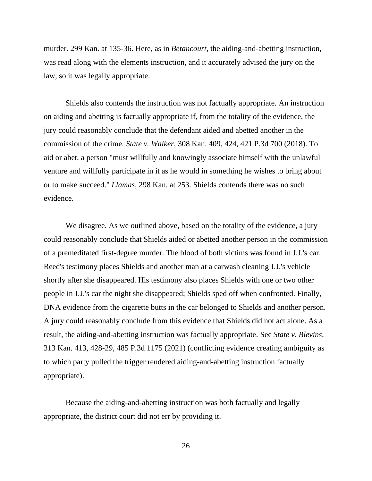murder. 299 Kan. at 135-36. Here, as in *Betancourt*, the aiding-and-abetting instruction, was read along with the elements instruction, and it accurately advised the jury on the law, so it was legally appropriate.

Shields also contends the instruction was not factually appropriate. An instruction on aiding and abetting is factually appropriate if, from the totality of the evidence, the jury could reasonably conclude that the defendant aided and abetted another in the commission of the crime. *State v. Walker*, 308 Kan. 409, 424, 421 P.3d 700 (2018). To aid or abet, a person "must willfully and knowingly associate himself with the unlawful venture and willfully participate in it as he would in something he wishes to bring about or to make succeed." *Llamas*, 298 Kan. at 253. Shields contends there was no such evidence.

We disagree. As we outlined above, based on the totality of the evidence, a jury could reasonably conclude that Shields aided or abetted another person in the commission of a premeditated first-degree murder. The blood of both victims was found in J.J.'s car. Reed's testimony places Shields and another man at a carwash cleaning J.J.'s vehicle shortly after she disappeared. His testimony also places Shields with one or two other people in J.J.'s car the night she disappeared; Shields sped off when confronted. Finally, DNA evidence from the cigarette butts in the car belonged to Shields and another person. A jury could reasonably conclude from this evidence that Shields did not act alone. As a result, the aiding-and-abetting instruction was factually appropriate. See *State v. Blevins*, 313 Kan. 413, 428-29, 485 P.3d 1175 (2021) (conflicting evidence creating ambiguity as to which party pulled the trigger rendered aiding-and-abetting instruction factually appropriate).

Because the aiding-and-abetting instruction was both factually and legally appropriate, the district court did not err by providing it.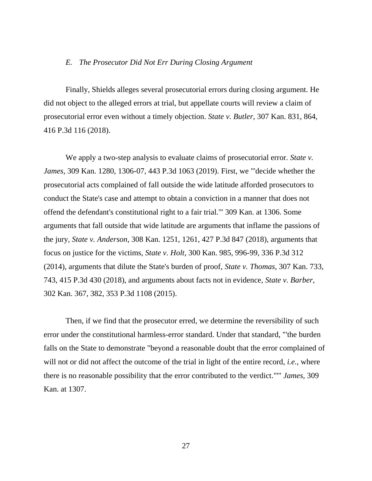#### *E. The Prosecutor Did Not Err During Closing Argument*

Finally, Shields alleges several prosecutorial errors during closing argument. He did not object to the alleged errors at trial, but appellate courts will review a claim of prosecutorial error even without a timely objection. *State v. Butler*, 307 Kan. 831, 864, 416 P.3d 116 (2018).

We apply a two-step analysis to evaluate claims of prosecutorial error. *State v. James*, 309 Kan. 1280, 1306-07, 443 P.3d 1063 (2019). First, we "'decide whether the prosecutorial acts complained of fall outside the wide latitude afforded prosecutors to conduct the State's case and attempt to obtain a conviction in a manner that does not offend the defendant's constitutional right to a fair trial.'" 309 Kan. at 1306. Some arguments that fall outside that wide latitude are arguments that inflame the passions of the jury, *State v. Anderson*, 308 Kan. 1251, 1261, 427 P.3d 847 (2018), arguments that focus on justice for the victims, *State v. Holt*, 300 Kan. 985, 996-99, 336 P.3d 312 (2014), arguments that dilute the State's burden of proof, *State v. Thomas*, 307 Kan. 733, 743, 415 P.3d 430 (2018), and arguments about facts not in evidence, *State v. Barber*, 302 Kan. 367, 382, 353 P.3d 1108 (2015).

Then, if we find that the prosecutor erred, we determine the reversibility of such error under the constitutional harmless-error standard. Under that standard, "'the burden falls on the State to demonstrate "beyond a reasonable doubt that the error complained of will not or did not affect the outcome of the trial in light of the entire record, *i.e.*, where there is no reasonable possibility that the error contributed to the verdict."'" *James*, 309 Kan. at 1307.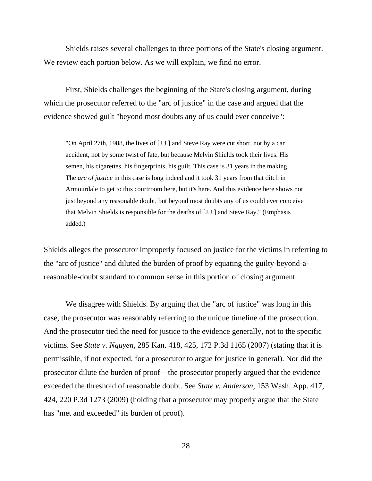Shields raises several challenges to three portions of the State's closing argument. We review each portion below. As we will explain, we find no error.

First, Shields challenges the beginning of the State's closing argument, during which the prosecutor referred to the "arc of justice" in the case and argued that the evidence showed guilt "beyond most doubts any of us could ever conceive":

"On April 27th, 1988, the lives of [J.J.] and Steve Ray were cut short, not by a car accident, not by some twist of fate, but because Melvin Shields took their lives. His semen, his cigarettes, his fingerprints, his guilt. This case is 31 years in the making. The *arc of justice* in this case is long indeed and it took 31 years from that ditch in Armourdale to get to this courtroom here, but it's here. And this evidence here shows not just beyond any reasonable doubt, but beyond most doubts any of us could ever conceive that Melvin Shields is responsible for the deaths of [J.J.] and Steve Ray." (Emphasis added.)

Shields alleges the prosecutor improperly focused on justice for the victims in referring to the "arc of justice" and diluted the burden of proof by equating the guilty-beyond-areasonable-doubt standard to common sense in this portion of closing argument.

We disagree with Shields. By arguing that the "arc of justice" was long in this case, the prosecutor was reasonably referring to the unique timeline of the prosecution. And the prosecutor tied the need for justice to the evidence generally, not to the specific victims. See *State v. Nguyen*, 285 Kan. 418, 425, 172 P.3d 1165 (2007) (stating that it is permissible, if not expected, for a prosecutor to argue for justice in general). Nor did the prosecutor dilute the burden of proof—the prosecutor properly argued that the evidence exceeded the threshold of reasonable doubt. See *State v. Anderson*, 153 Wash. App. 417, 424, 220 P.3d 1273 (2009) (holding that a prosecutor may properly argue that the State has "met and exceeded" its burden of proof).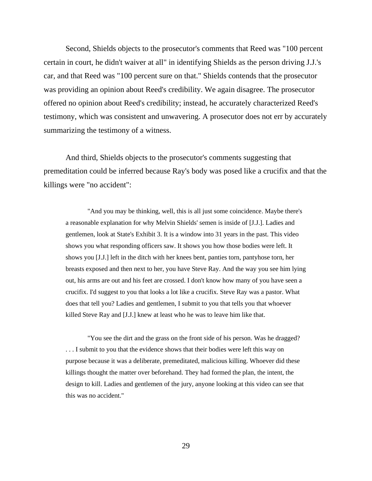Second, Shields objects to the prosecutor's comments that Reed was "100 percent certain in court, he didn't waiver at all" in identifying Shields as the person driving J.J.'s car, and that Reed was "100 percent sure on that." Shields contends that the prosecutor was providing an opinion about Reed's credibility. We again disagree. The prosecutor offered no opinion about Reed's credibility; instead, he accurately characterized Reed's testimony, which was consistent and unwavering. A prosecutor does not err by accurately summarizing the testimony of a witness.

And third, Shields objects to the prosecutor's comments suggesting that premeditation could be inferred because Ray's body was posed like a crucifix and that the killings were "no accident":

"And you may be thinking, well, this is all just some coincidence. Maybe there's a reasonable explanation for why Melvin Shields' semen is inside of [J.J.]. Ladies and gentlemen, look at State's Exhibit 3. It is a window into 31 years in the past. This video shows you what responding officers saw. It shows you how those bodies were left. It shows you [J.J.] left in the ditch with her knees bent, panties torn, pantyhose torn, her breasts exposed and then next to her, you have Steve Ray. And the way you see him lying out, his arms are out and his feet are crossed. I don't know how many of you have seen a crucifix. I'd suggest to you that looks a lot like a crucifix. Steve Ray was a pastor. What does that tell you? Ladies and gentlemen, I submit to you that tells you that whoever killed Steve Ray and [J.J.] knew at least who he was to leave him like that.

"You see the dirt and the grass on the front side of his person. Was he dragged? . . . I submit to you that the evidence shows that their bodies were left this way on purpose because it was a deliberate, premeditated, malicious killing. Whoever did these killings thought the matter over beforehand. They had formed the plan, the intent, the design to kill. Ladies and gentlemen of the jury, anyone looking at this video can see that this was no accident."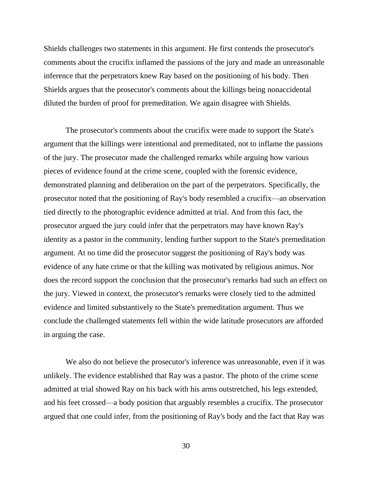Shields challenges two statements in this argument. He first contends the prosecutor's comments about the crucifix inflamed the passions of the jury and made an unreasonable inference that the perpetrators knew Ray based on the positioning of his body. Then Shields argues that the prosecutor's comments about the killings being nonaccidental diluted the burden of proof for premeditation. We again disagree with Shields.

The prosecutor's comments about the crucifix were made to support the State's argument that the killings were intentional and premeditated, not to inflame the passions of the jury. The prosecutor made the challenged remarks while arguing how various pieces of evidence found at the crime scene, coupled with the forensic evidence, demonstrated planning and deliberation on the part of the perpetrators. Specifically, the prosecutor noted that the positioning of Ray's body resembled a crucifix—an observation tied directly to the photographic evidence admitted at trial. And from this fact, the prosecutor argued the jury could infer that the perpetrators may have known Ray's identity as a pastor in the community, lending further support to the State's premeditation argument. At no time did the prosecutor suggest the positioning of Ray's body was evidence of any hate crime or that the killing was motivated by religious animus. Nor does the record support the conclusion that the prosecutor's remarks had such an effect on the jury. Viewed in context, the prosecutor's remarks were closely tied to the admitted evidence and limited substantively to the State's premeditation argument. Thus we conclude the challenged statements fell within the wide latitude prosecutors are afforded in arguing the case.

We also do not believe the prosecutor's inference was unreasonable, even if it was unlikely. The evidence established that Ray was a pastor. The photo of the crime scene admitted at trial showed Ray on his back with his arms outstretched, his legs extended, and his feet crossed—a body position that arguably resembles a crucifix. The prosecutor argued that one could infer, from the positioning of Ray's body and the fact that Ray was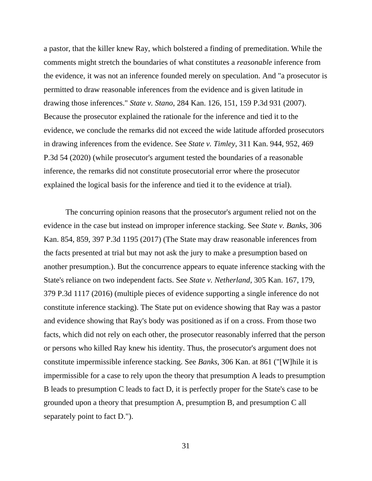a pastor, that the killer knew Ray, which bolstered a finding of premeditation. While the comments might stretch the boundaries of what constitutes a *reasonable* inference from the evidence, it was not an inference founded merely on speculation. And "a prosecutor is permitted to draw reasonable inferences from the evidence and is given latitude in drawing those inferences." *State v. Stano*, 284 Kan. 126, 151, 159 P.3d 931 (2007). Because the prosecutor explained the rationale for the inference and tied it to the evidence, we conclude the remarks did not exceed the wide latitude afforded prosecutors in drawing inferences from the evidence. See *State v. Timley*, 311 Kan. 944, 952, 469 P.3d 54 (2020) (while prosecutor's argument tested the boundaries of a reasonable inference, the remarks did not constitute prosecutorial error where the prosecutor explained the logical basis for the inference and tied it to the evidence at trial).

The concurring opinion reasons that the prosecutor's argument relied not on the evidence in the case but instead on improper inference stacking. See *State v. Banks*, 306 Kan. 854, 859, 397 P.3d 1195 (2017) (The State may draw reasonable inferences from the facts presented at trial but may not ask the jury to make a presumption based on another presumption.). But the concurrence appears to equate inference stacking with the State's reliance on two independent facts. See *State v. Netherland*, 305 Kan. 167, 179, 379 P.3d 1117 (2016) (multiple pieces of evidence supporting a single inference do not constitute inference stacking). The State put on evidence showing that Ray was a pastor and evidence showing that Ray's body was positioned as if on a cross. From those two facts, which did not rely on each other, the prosecutor reasonably inferred that the person or persons who killed Ray knew his identity. Thus, the prosecutor's argument does not constitute impermissible inference stacking. See *Banks*, 306 Kan. at 861 ("[W]hile it is impermissible for a case to rely upon the theory that presumption A leads to presumption B leads to presumption C leads to fact D, it is perfectly proper for the State's case to be grounded upon a theory that presumption A, presumption B, and presumption C all separately point to fact D.").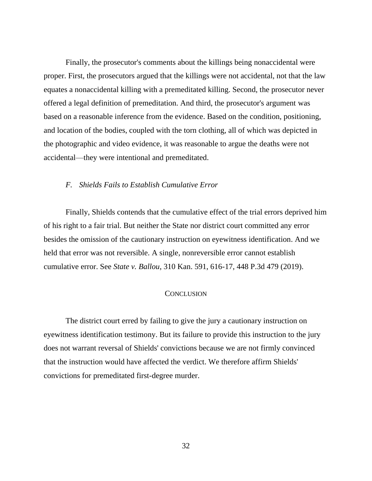Finally, the prosecutor's comments about the killings being nonaccidental were proper. First, the prosecutors argued that the killings were not accidental, not that the law equates a nonaccidental killing with a premeditated killing. Second, the prosecutor never offered a legal definition of premeditation. And third, the prosecutor's argument was based on a reasonable inference from the evidence. Based on the condition, positioning, and location of the bodies, coupled with the torn clothing, all of which was depicted in the photographic and video evidence, it was reasonable to argue the deaths were not accidental—they were intentional and premeditated.

## *F. Shields Fails to Establish Cumulative Error*

Finally, Shields contends that the cumulative effect of the trial errors deprived him of his right to a fair trial. But neither the State nor district court committed any error besides the omission of the cautionary instruction on eyewitness identification. And we held that error was not reversible. A single, nonreversible error cannot establish cumulative error. See *State v. Ballou*, 310 Kan. 591, 616-17, 448 P.3d 479 (2019).

### **CONCLUSION**

The district court erred by failing to give the jury a cautionary instruction on eyewitness identification testimony. But its failure to provide this instruction to the jury does not warrant reversal of Shields' convictions because we are not firmly convinced that the instruction would have affected the verdict. We therefore affirm Shields' convictions for premeditated first-degree murder.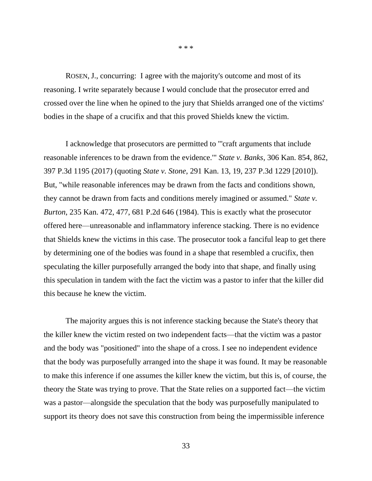ROSEN, J., concurring: I agree with the majority's outcome and most of its reasoning. I write separately because I would conclude that the prosecutor erred and crossed over the line when he opined to the jury that Shields arranged one of the victims' bodies in the shape of a crucifix and that this proved Shields knew the victim.

\* \* \*

I acknowledge that prosecutors are permitted to "'craft arguments that include reasonable inferences to be drawn from the evidence.'" *State v. Banks*, 306 Kan. 854, 862, 397 P.3d 1195 (2017) (quoting *State v. Stone*, 291 Kan. 13, 19, 237 P.3d 1229 [2010]). But, "while reasonable inferences may be drawn from the facts and conditions shown, they cannot be drawn from facts and conditions merely imagined or assumed." *State v. Burton*, 235 Kan. 472, 477, 681 P.2d 646 (1984). This is exactly what the prosecutor offered here—unreasonable and inflammatory inference stacking. There is no evidence that Shields knew the victims in this case. The prosecutor took a fanciful leap to get there by determining one of the bodies was found in a shape that resembled a crucifix, then speculating the killer purposefully arranged the body into that shape, and finally using this speculation in tandem with the fact the victim was a pastor to infer that the killer did this because he knew the victim.

The majority argues this is not inference stacking because the State's theory that the killer knew the victim rested on two independent facts—that the victim was a pastor and the body was "positioned" into the shape of a cross. I see no independent evidence that the body was purposefully arranged into the shape it was found. It may be reasonable to make this inference if one assumes the killer knew the victim, but this is, of course, the theory the State was trying to prove. That the State relies on a supported fact—the victim was a pastor—alongside the speculation that the body was purposefully manipulated to support its theory does not save this construction from being the impermissible inference